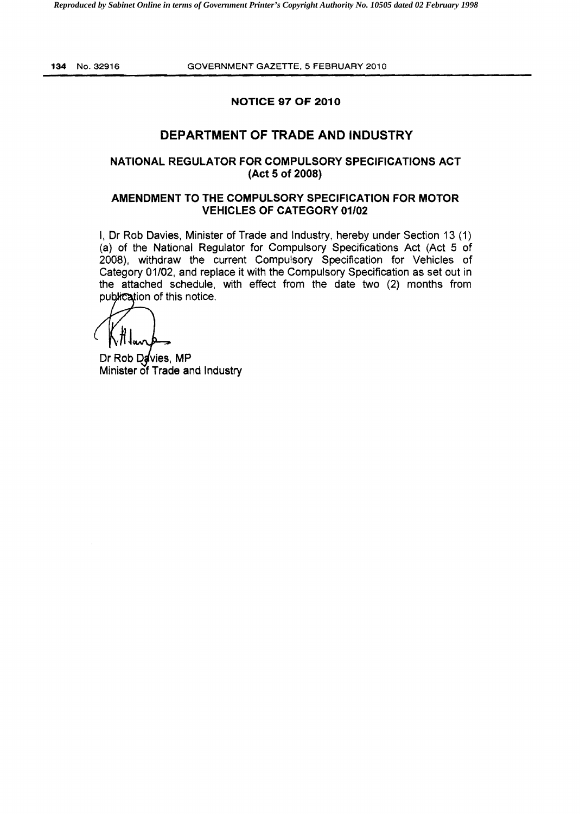# NOTICE 97 OF 2010

# DEPARTMENT OF TRADE AND INDUSTRY

## NATIONAL REGULATOR FOR COMPULSORY SPECIFICATIONS ACT (Act 5 of 2008)

## AMENDMENT TO THE COMPULSORY SPECIFICATION FOR MOTOR VEHICLES OF CATEGORY 01/02

I, Dr Rob Davies, Minister of Trade and Industry, hereby under Section 13 (1) (a) of the National Regulator for Compulsory Specifications Act (Act 5 of 2008), withdraw the current Compulsory Specification for Vehicles of Category 01/02, and replace it with the Compulsory Specification as set out in the attached schedule, with effect from the date two (2) months from publication of this notice.

Dr Rob Davies, MP Minister of Trade and Industry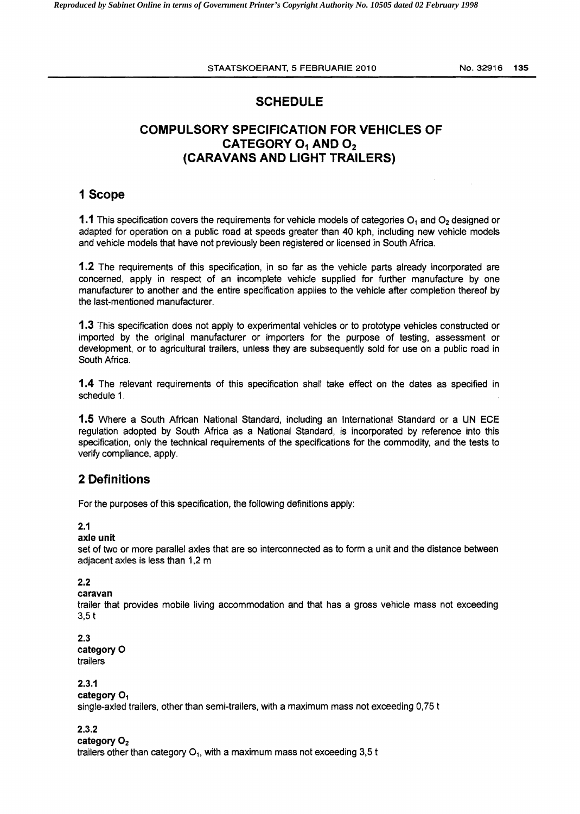# SCHEDULE

# COMPULSORY SPECIFICATION FOR VEHICLES OF CATEGORY  $O_1$  AND  $O_2$ (CARAVANS AND LIGHT TRAILERS)

# 1 Scope

**1.1** This specification covers the requirements for vehicle models of categories  $O_1$  and  $O_2$  designed or adapted for operation on a public road at speeds greater than 40 kph, including new vehicle models and vehicle models that have not previously been registered or licensed in South Africa.

1.2 The requirements of this specification, in so far as the vehicle parts already incorporated are concerned, apply in respect of an incomplete vehicle supplied for further manufacture by one manufacturer to another and the entire specification applies to the vehicle after completion thereof by the last-mentioned manufacturer.

1.3 This specification does not apply to experimental vehicles or to prototype vehicles constructed or imported by the original manufacturer or importers for the purpose of testing, assessment or development, or to agricultural trailers, unless they are subsequently sold for use on a public road in South Africa.

**1.4** The relevant requirements of this specification shall take effect on the dates as specified in schedule 1.

1.5 Where a South African National Standard, including an International Standard or a UN ECE regulation adopted by South Africa as a National Standard, is incorporated by reference into this specification, only the technical requirements of the specifications for the commodity, and the tests to verify compliance. apply.

# 2 Definitions

For the purposes of this specification, the following definitions apply:

## 2.1

#### axle unit

set of two or more parallel axles that are so interconnected as to form a unit and the distance between adjacent axles is less than 1,2 m

## 2.2

#### caravan

trailer that provides mobile living accommodation and that has a gross vehicle mass not exceeding 3,5 t

#### 2.3 category 0 trailers

## 2.3.1

category O<sub>1</sub> single-axled trailers, other than semi-trailers, with a maximum mass not exceeding 0,75 t

2.3.2

#### category  $O<sub>2</sub>$

trailers other than category  $O_1$ , with a maximum mass not exceeding 3,5 t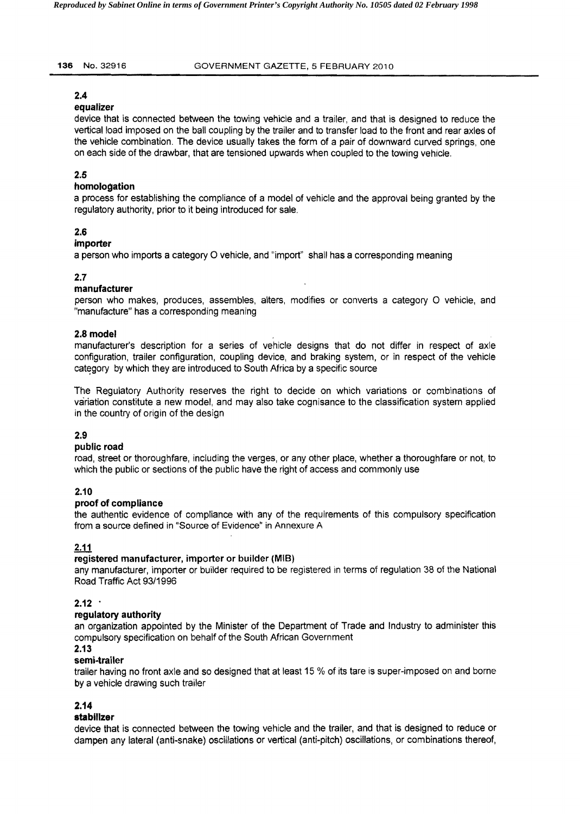#### 2.4

#### equalizer

device that is connected between the towing vehicle and a trailer, and that is designed to reduce the vertical load imposed on the ball coupling by the trailer and to transfer load to the front and rear axles of the vehicle combination. The device usually takes the form of a pair of downward curved springs, one on each side of the drawbar, that are tensioned upwards when coupled to the towing vehicle.

## 2.5

### homologation

a process for establishing the compliance of a model of vehicle and the approval being granted by the regulatory authority, prior to it being introduced for sale.

### 2.6

### importer

a person who imports a category 0 vehicle, and "import" shall has a corresponding meaning

## 2.7

### manufacturer

person who makes, produces, assembles, alters, modifies or converts a category 0 vehicle, and "manufacture" has a corresponding meaning

### 2.8 model

manufacturer's description for a series of vehicle designs that do not differ in respect of axle configuration, trailer configuration, coupling device, and braking system, or in respect of the vehicle category by which they are introduced to South Africa by a specific source

The Regulatory Authority reserves the right to decide on which variations or combinations of variation constitute a new model, and may also take cognisance to the classification system applied in the country of origin of the design

## 2.9

## public road

road, street or thoroughfare, including the verges, or any other place, whether a thoroughfare or not, to which the public or sections of the public have the right of access and commonly use

## 2.10

## proof of compliance

the authentic evidence of compliance with any of the requirements of this compulsory specification from a source defined in "Source of Evidence" in Annexure A

## 2.11

#### registered manufacturer, importer or builder (MIB)

any manufacturer, importer or builder required to be registered in terms of regulation 38 of the National Road Traffic Act 93/1996

#### $2.12$

## regulatory authority

an organization appointed by the Minister of the Department of Trade and Industry to administer this compulsory specification on behalf of the South African Government

#### 2.13

#### semi~trailer

trailer having no front axle and so designed that at least 15 % of its tare is super-imposed on and borne by a vehicle drawing such trailer

## 2.14

#### stabilizer

device that is connected between the towing vehicle and the trailer, and that is designed to reduce or dampen any lateral (anti-snake) oscillations or vertical (anti-pitch) oscillations, or combinations thereof,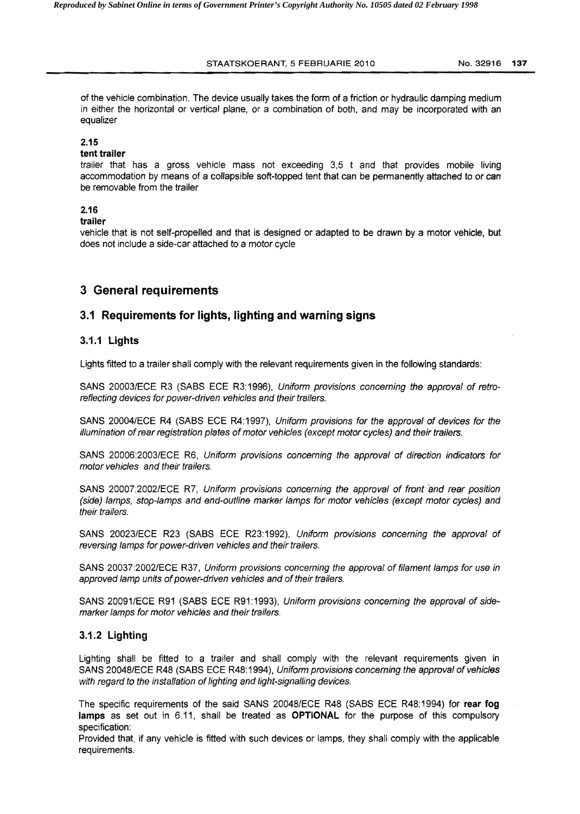#### STAATSKOERANT, 5 FEBRUARIE 2010 No.32916 **137**

of the vehicle combination. The device usually takes the form of a friction or hydraulic damping medium in either the horizontal or vertical plane, or a combination of both. and may be incorporated with an equalizer

#### 2.15

#### **tent trailer**

trailer that has a gross vehicle mass not exceeding 3,5 t and that provides mobile living accommodation by means of a collapsible soft-topped tent that can be permanently attached to or can be removable from the trailer

### 2.16

#### **trailer**

vehicle that is not self-propelled and that is designed or adapted to be drawn by a motor vehicle. but does not include a side-car attached to a motor cycle

# **3 General requirements**

## **3.1 Requirements for lights, lighting and warning signs**

### 3.1.1 **Lights**

Lights fitted to a trailer shall comply with the relevant requirements given in the following standards:

SANS 20003/ECE R3 (SABS ECE R3:1996), Uniform provisions concerning the approval of retroreflecting devices for power-driven vehicles and their trailers.

SANS 20004/ECE R4 (SABS ECE R4:1997), Uniform provisions for the approval of devices for the illumination of rear registration plates of motor vehicles (except motor cycles) and their trailers.

SANS 20006:2003/ECE R6, Uniform provisions concerning the approval of direction indicators for motor vehicles and their trailers.

SANS 20007:2002/ECE R7, Uniform provisions concerning the approval of front and rear position (side) lamps, stop-lamps and end-outline marker lamps for motor vehicles (except motor cycles) and their trailers.

SANS 20023/ECE R23 (SABS ECE R23:1992), Uniform provisions concerning the approval of reversing lamps for power-driven vehicles and their trailers.

SANS 20037:2002/ECE R37, Uniform provisions concerning the approval of filament lamps for use in approved lamp units of power-driven vehicles and of their trailers.

SANS 20091/ECE R91 (SABS ECE R91:1993), Uniform provisions concerning the approval of sidemarker lamps for motor vehicles and their trailers.

## 3.1.2 **Lighting**

Lighting shall be fitted to a trailer and shall comply with the relevant requirements given in SANS 20048/ECE R48 (SABS ECE R48:1994). Uniform provisions concerning the approval of vehicles with regard to the installation of lighting and light-signalling devices.

The specific requirements of the said SANS 20048/ECE R48 (SASS ECE R48:1994) for **rear fog lamps** as set out in 6.11, shall be treated as **OPTIONAL** for the purpose of this compulsory specification:

Provided that, if any vehicle is fitted with such devices or lamps, they shall comply with the applicable requirements.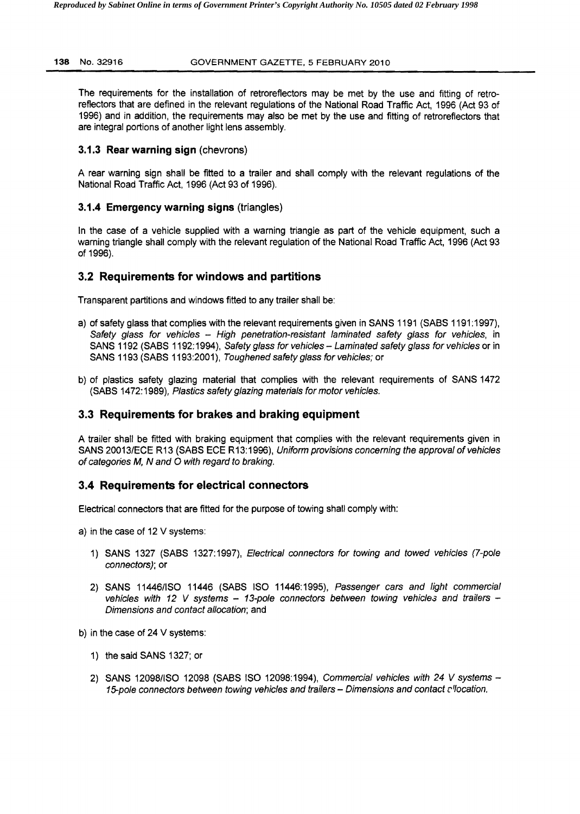#### **138** NO.32916 GOVERNMENT GAZETTE. 5 FEBRUARY 2010

The requirements for the installation of retroreflectors may be met by the use and fitting of retroreflectors that are defined in the relevant regulations of the National Road Traffic Act 1996 (Act 93 of 1996) and in addition, the requirements may also be met by the use and fitting of retrorefiectors that are integral portions of another light lens assembly.

## **3.1.3** Rear warning **sign** (chevrons)

A rear warning sign shalt be fitted to a trailer and shall comply with the relevant regulations of the National Road Traffic Act, 1996 (Act 93 of 1996).

## **3.1.4 Emergency warning signs** (triangles)

In the case of a vehicle supplied with a warning triangle as part of the vehicle equipment, such a warning triangle shall comply with the relevant regulation of the National Road Traffic Act, 1996 (Act 93 of 1996).

## **3.2 Requirements for windows and partitions**

Transparent partitions and windows fitted to any trailer shall be:

- a) of safety glass that complies with the relevant requirements given in SANS 1191 (SABS 1191:1997), Safety glass for vehicles -- High penetration-resistant laminated safety glass for vehicles, in SANS 1192 (SABS 1192:1994), Safety glass for vehicles - Laminated safety glass for vehicles or in SANS 1193 (SABS 1193:2001), Toughened safety glass for vehicles; or
- b) of plastics safety glazing material that complies with the relevant requirements of SANS 1472 (SABS 1472:1989), Plastics safety glazing materials for motor vehicles.

# **3.3 Requirements for brakes and braking equipment**

A trailer shall be fitted with braking equipment that complies with the relevant requirements given in SANS 20013/ECE R13 (SABS ECE R13:1996). Uniform provisions concerning the approval of vehicles of categories M, N and O with regard to braking.

## **3.4 Requirements for electrical connectors**

Electrical connectors that are fitted for the purpose of towing shall comply with:

- a) in the case of 12 V systems:
	- 1) SANS 1327 (SABS 1327:1997). Electrical connectors for towing and towed vehicles (7-pole connectors); or
	- 2) SANS 11446/ISO 11446 (SABS ISO 11446:1995), Passenger cars and light commercial vehicles with 12 V systems  $-$  13-pole connectors between towing vehicles and trailers  $-$ Dimensions and contact allocation; and
- b) in the case of  $24 \vee$  systems:
	- 1) the said SANS 1327; or
	- 2) SANS 12098/ISO 12098 (SABS ISO 12098:1994), Commercial vehicles with 24 V systems -15-pole connectors between towing vehicles and trailers - Dimensions and contact c'location.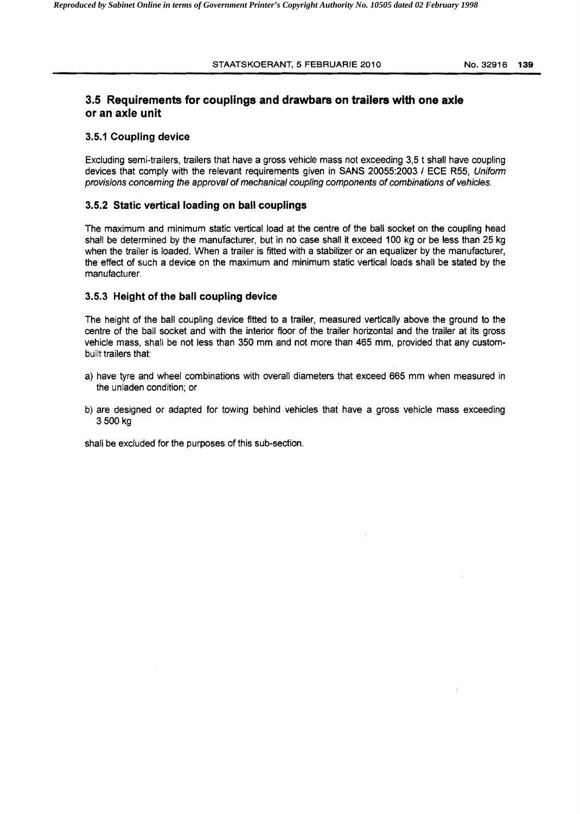#### STAATSKOERANT, 5 FEBRUARIE 2010 NO.32916 **139**

# **3.5 Requirements for couplings and drawbars on trailers with one axle or an axle unit**

### **3.5.1 Coupling device**

Excluding semi-trailers, trailers that have a gross vehicle mass not exceeding 3,5 t shall have coupling devices that comply with the relevant requirements given in SANS 20055:2003 / ECE R55, Uniform provisions concerning the approval of mechanical coupling components of combinations of vehicles.

#### **3.5.2 Static vertical loading on ball couplings**

The maximum and minimum static vertical load at the centre of the ball socket on the coupling head shall be determined by the manufacturer, but in no case shall it exceed 100 kg or be less than 25 kg when the trailer is loaded. When a trailer is fitted with a stabilizer or an equalizer by the manufacturer, the effect of such a device on the maximum and minimum static vertical loads shall be stated by the manufacturer.

#### **3.5.3 Height of the ball coupling device**

The height of the ball coupling device fitted to a trailer, measured vertically above the ground to the centre of the ball socket and with the interior floor of the trailer horizontal and the trailer at its gross vehicle mass, shall be not less than 350 mm and not more than 465 mm, provided that any custombuilt trailers that:

- a) have tyre and wheel combinations with overall diameters that exceed 665 mm when measured in the unladen condition; or
- b) are designed or adapted for towing behind vehicles that have a gross vehicle mass exceeding 3500 kg

shall be excluded for the purposes of this sub-section.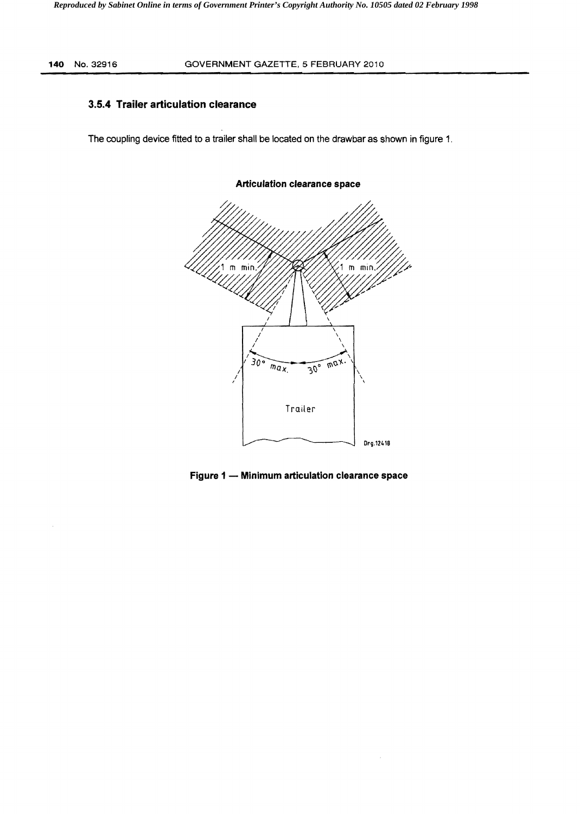## **3.5.4 Trailer articulation clearance**

The coupling device fitted to a trailer shall be located on the drawbar as shown in figure 1.



### **Articulation clearance space**

**Figure 1 - Minimum articulation clearance space**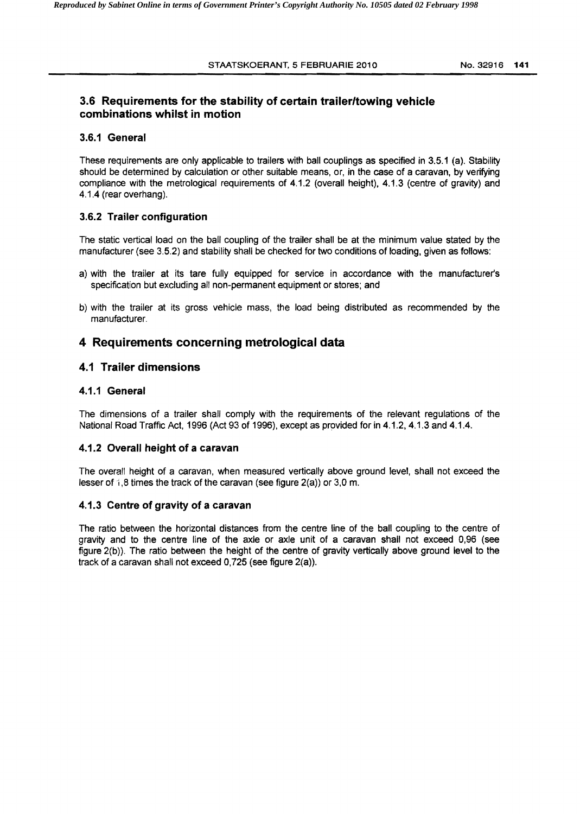# **3.6 Requirements for the stability of certain trailer/towing vehicle combinations whilst in motion**

#### **3.6.1 General**

These requirements are only applicable to trailers with ball couplings as specified in 3.5.1 (a). Stability should be determined by calculation or other suitable means, or, in the case of a caravan, by verifying compliance with the metrological requirements of 4.1.2 (overall height). 4.1.3 (centre of gravity) and 4.1.4 (rear overhang).

### **3.6.2 Trailer configuration**

The static vertical load on the ball coupling of the trailer shall be at the minimum value stated by the manufacturer (see 3.5.2) and stability shall be checked for two conditions of loading, given as follows:

- a) with the trailer at its tare fully equipped for service in accordance with the manufacturers specification but excluding all non-permanent equipment or stores; and
- b) with the trailer at its gross vehicle mass. the load being distributed as recommended by the manufacturer.

# **4 Requirements concerning metrological data**

## **4.1 Trailer dimensions**

### **4.1.1 General**

The dimensions of a trailer shall comply with the requirements of the relevant regulations of the National Road Traffic Act, 1996 (Act 93 of 1996), except as provided for in 4.1.2, 4.1.3 and 4.1.4.

## **4.1.2 Overall height of a caravan**

The overall height of a caravan, when measured vertically above ground level, shall not exceed the lesser of  $i$ ,8 times the track of the caravan (see figure 2(a)) or 3,0 m.

#### **4.1.3 Centre of gravity of a caravan**

The ratio between the horizontal distances from the centre line of the ball coupling to the centre of gravity and to the centre line of the axle or axle unit of a caravan shall not exceed 0,96 (see figure 2(b)). The ratio between the height of the centre of gravity vertically above ground level to the track of a caravan shall not exceed 0,725 (see figure 2(a)).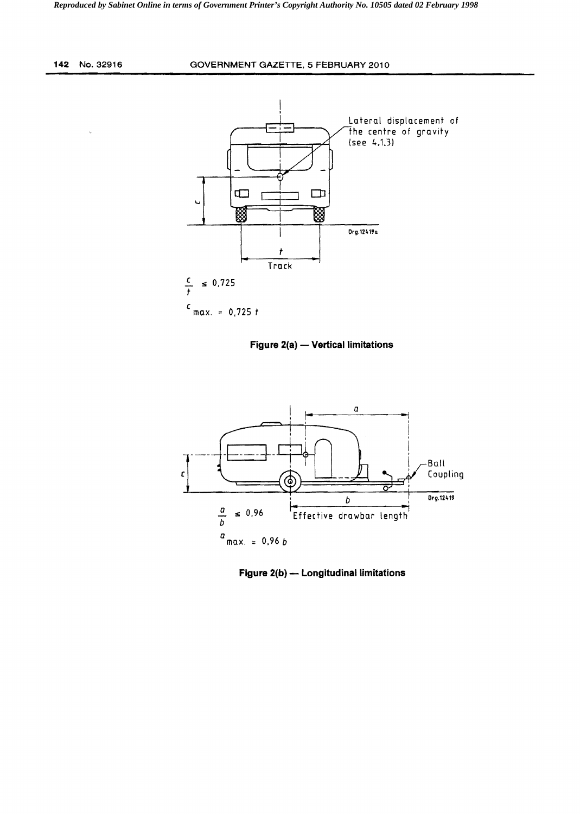**142** NO.32916 **GOVERNMENT** GAZETTE, 5 **FEBRUARY** 2010



**Figure 2(a) – Vertical limitations** 



**Figure 2(b) -** Longitudinal limitations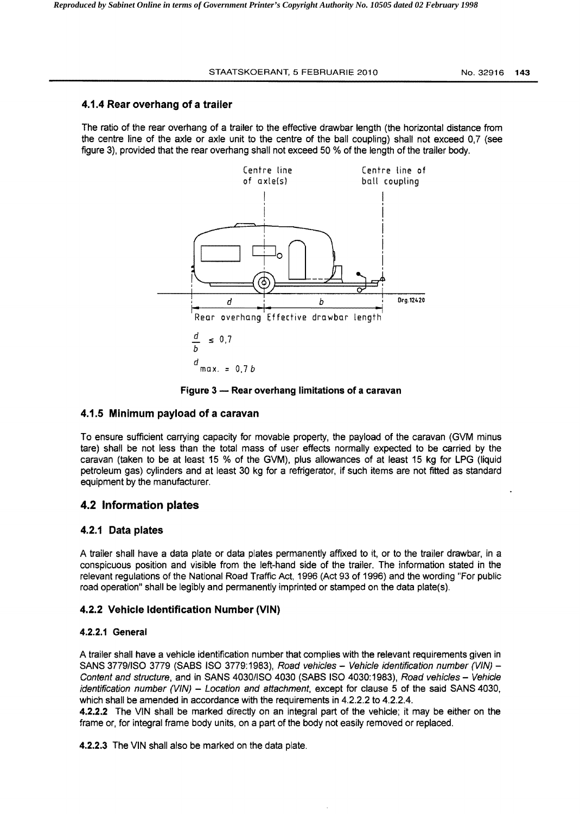### 4.1.4 Rear overhang of a trailer

The ratio of the rear overhang of a trailer to the effective drawbar length (the horizontal distance from the centre line of the axle or axle unit to the centre of the ball coupling) shall not exceed 0,7 (see figure 3), provided that the rear overhang shall not exceed 50 % of the length of the trailer body.



Figure 3 - Rear overhang limitations of a caravan

## 4.1.5 Minimum payload of a caravan

To ensure sufficient carrying capacity for movable property, the payload of the caravan (GVM minus tare) shall be not less than the total mass of user effects normally expected to be carried by the caravan (taken to be at least 15 % of the GVM), plus allowances of at least 15 kg for LPG (liquid petroleum gas) cylinders and at least 30 kg for a refrigerator, if such items are not fitted as standard equipment by the manufacturer.

## 4.2 Information plates

#### 4.2.1 Data plates

A trailer shall have a data plate or data plates permanently affixed to it, or to the trailer drawbar, in a conspicuous position and visible from the left-hand side of the trailer. The information stated in the relevant regulations of the National Road Traffic Act, 1996 (Act 93 of 1996) and the wording "For public road operation" shall be legibly and permanently imprinted or stamped on the data plate(s).

#### 4.2.2 Vehicle Identification Number (VIN)

#### 4.2.2.1 General

A trailer shall have a vehicle identification number that complies with the relevant requirements given in SANS 3779/ISO 3779 (SABS ISO 3779:1983), Road vehicles - Vehicle identification number (VIN) -Content and structure, and in SANS 4030/ISO 4030 (SABS ISO 4030:1983), Road vehicles - Vehicle identification number (VIN) - Location and attachment, except for clause 5 of the said SANS 4030, which shall be amended in accordance with the requirements in 4.2.2.2 to 4.2.2.4.

4.2.2.2 The VIN shall be marked directly on an integral part of the vehicle; it may be either on the frame or, for integral frame body units, on a part of the body not easily removed or replaced.

4.2.2.3 The VIN shall also be marked on the data plate.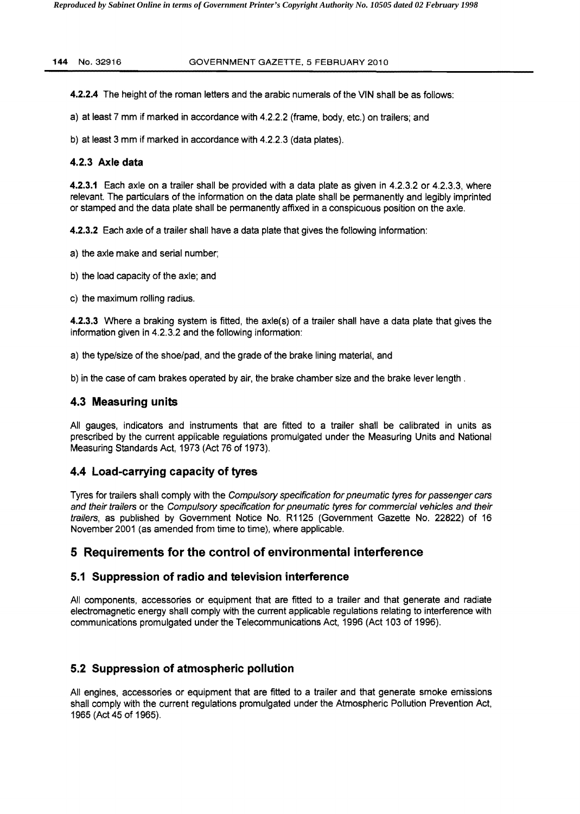4.2.2.4 The height of the roman letters and the arabic numerals of the VIN shall be as follows:

a) at least 7 mm if marked in accordance with 4.2.2.2 (frame, body, etc.) on trailers; and

b) at least 3 mm if marked in accordance with 4.2.2.3 (data plates).

# 4.2.3 **Axle data**

4.2.3.1 Each axle on a trailer shall be provided with a data plate as given in 4.2.3.2 or 4.2.3.3, where relevant. The particulars of the information on the data plate shall be permanently and legibly imprinted or stamped and the data plate shall be permanently affixed in a conspicuous position on the axle.

4.2.3.2 Each axle of a trailer shall have a data plate that gives the following information:

- a) the axle make and serial number;
- b) the load capacity of the axle; and
- c) the maximum rolling radius.

4.2.3.3 Where a braking system is fitted, the axle(s) of a trailer shall have a data plate that gives the information given in 4.2.3.2 and the following information:

a) the type/size of the shoe/pad, and the grade of the brake lining material, and

b) in the case of cam brakes operated by air, the brake chamber size and the brake lever length.

# **4.3 Measuring units**

All gauges, indicators and instruments that are fitted to a trailer shall be calibrated in units as prescribed by the current applicable regulations promulgated under the Measuring Units and National Measuring Standards Act, 1973 (Act 76 of 1973).

# **4.4 Load-carrying capacity of tyres**

Tyres for trailers shall comply with the Compulsory specification for pneumatic tyres for passenger cars and their trailers or the Compulsory specification for pneumatic tyres for commercial vehicles and their trailers, as published by Govemment Notice No. R1125 (Government Gazette No. 22822) of 16 November 2001 (as amended from time to time), where applicable.

# **5 Requirements for the control of environmental interference**

# **5.1 Suppression of radio and television interference**

All components, accessories or equipment that are fitted to a trailer and that generate and radiate electromagnetic energy shall comply with the current applicable regulations relating to interference with communications promulgated under the Telecommunications Act, 1996 (Act 103 of 1996).

# **5.2 Suppression of atmospheric pollution**

All engines, accessories or equipment that are fitted to a trailer and that generate smoke emissions shall comply with the current regulations promulgated under the Atmospheric Pollution Prevention Act, 1965 (Act 45 of 1965).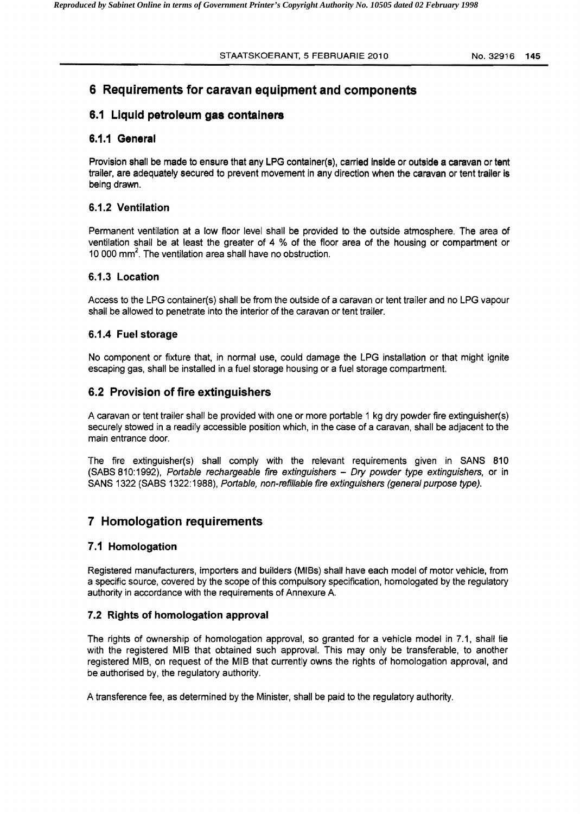# 6 Requirements for caravan equipment and components

# 6.1 Liquid petroleum gas containers

## 6.1.1 General

Provision shall be made to ensure that any LPG container(s), carried inside or outside a caravan or tent trailer, are adequately secured to prevent movement in any direction when the caravan or tent trailer is being drawn.

## 6.1.2 Ventilation

Permanent ventilation at a low floor level shall be provided to the outside atmosphere. The area of ventilation shall be at least the greater of 4 % of the floor area of the housing or compartment or 10 000 mm<sup>2</sup>. The ventilation area shall have no obstruction.

## 6.1.3 Location

Access to the LPG container(s) shall be from the outside of a caravan or tent trailer and no LPG vapour shall be allowed to penetrate into the interior of the caravan or tent trailer.

## 6.1.4 Fuel storage

No component or fixture that, in normal use, could damage the LPG installation or that might ignite escaping gas, shall be installed in a fuel storage housing or a fuel storage compartment.

# 6.2 Provision of fire extinguishers

A caravan or tent trailer shall be provided with one or more portable 1 kg dry powder fire extinguisher{s) securely stowed in a readily accessible position which, in the case of a caravan, shall be adjacent to the main entrance door.

The fire extinguisher(s) shall comply with the relevant requirements given in SANS 810 (SASS 810:1992), Portable rechargeable fire extinguishers - Dry powder type extinguishers, or in SANS 1322 (SABS 1322:1988), Portable, non-refillable fire extinguishers (general purpose type).

# 7 Homologation requirements

# 7.1 Homologation

Registered manufacturers, importers and builders (MISs) shall have each model of motor vehicle, from a specific source, covered by the scope of this compulsory specification, homologated by the regulatory authority in accordance with the requirements of Annexure A.

## 7.2 Rights of homologation approval

The rights of ownership of homologation approval, so granted for a vehicle model in 7.1, shall lie with the registered MIS that obtained such approval. This may only be transferable, to another registered MIS, on request of the MIS that currently owns the rights of homologation approval, and be authorised by, the regulatory authority.

A transference fee, as determined by the Minister, shall be paid to the regulatory authority.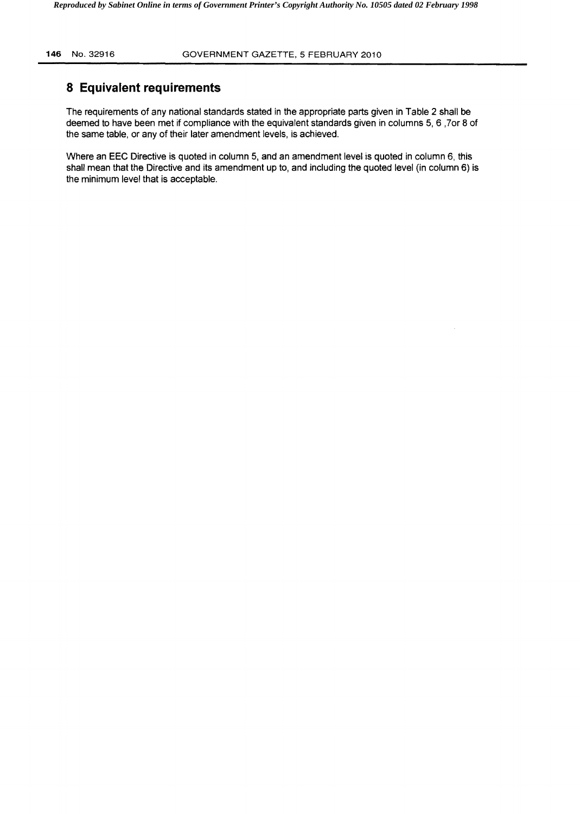# **8 Equivalent requirements**

The requirements of any national standards stated in the appropriate parts given in Table 2 shall be deemed to have been met if compliance with the equivalent standards given in columns 5,6 ,70r 8 of the same table, or any of their later amendment levels, is achieved.

Where an EEC Directive is quoted in column 5, and an amendment level is quoted in column 6, this shall mean that the Directive and its amendment up to, and including the quoted level (in column 6) is the minimum level that is acceptable.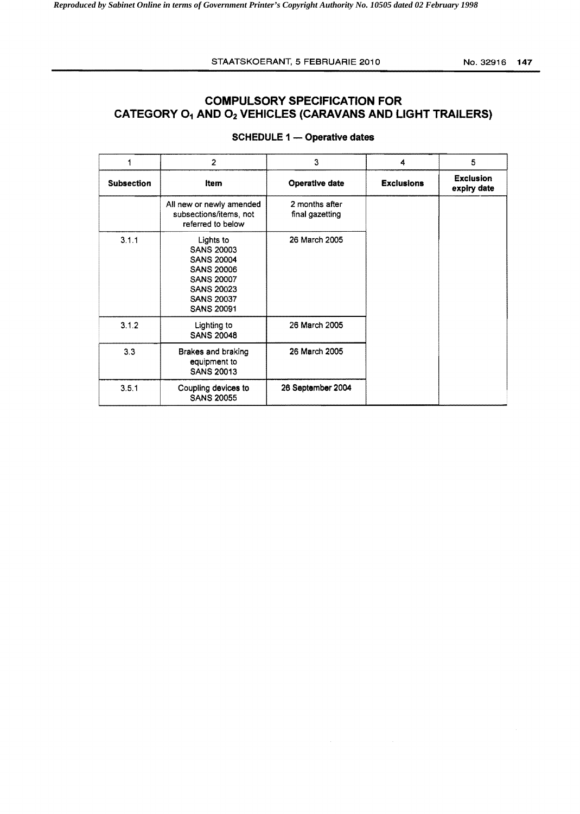#### STAATSKOERANT, 5 FEBRUARIE 2010 No. 32916 147

# **COMPULSORY SPECIFICATION FOR CATEGORY O<sub>1</sub> AND O<sub>2</sub> VEHICLES (CARAVANS AND LIGHT TRAILERS)**

|                   | $\overline{2}$                                                                                                                                               | 3                                 | 4                 | 5                               |
|-------------------|--------------------------------------------------------------------------------------------------------------------------------------------------------------|-----------------------------------|-------------------|---------------------------------|
| <b>Subsection</b> | Item                                                                                                                                                         | <b>Operative date</b>             | <b>Exclusions</b> | <b>Exclusion</b><br>expiry date |
|                   | All new or newly amended<br>subsections/items, not<br>referred to below                                                                                      | 2 months after<br>final gazetting |                   |                                 |
| 3.1.1             | Lights to<br><b>SANS 20003</b><br><b>SANS 20004</b><br><b>SANS 20006</b><br><b>SANS 20007</b><br><b>SANS 20023</b><br><b>SANS 20037</b><br><b>SANS 20091</b> | 26 March 2005                     |                   |                                 |
| 3.1.2             | Lighting to<br><b>SANS 20048</b>                                                                                                                             | 26 March 2005                     |                   |                                 |
| 3.3               | Brakes and braking<br>equipment to<br><b>SANS 20013</b>                                                                                                      | 26 March 2005                     |                   |                                 |
| 3.5.1             | Coupling devices to<br><b>SANS 20055</b>                                                                                                                     | 26 September 2004                 |                   |                                 |

### SCHEDULE 1 - Operative dates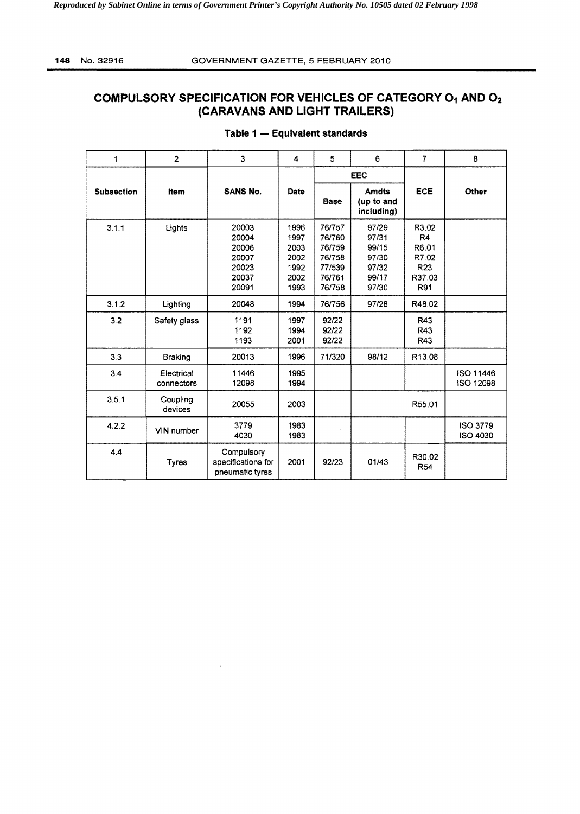# **COMPULSORY SPECIFICATION FOR VEHICLES OF CATEGORY 01 AND 02 (CARAVANS AND LIGHT TRAILERS)**

| 1                 | $\overline{2}$           | 3                                                           | 4                                                    | 5                                                                  | 6                                                           | $\overline{7}$                                                    | 8                                  |
|-------------------|--------------------------|-------------------------------------------------------------|------------------------------------------------------|--------------------------------------------------------------------|-------------------------------------------------------------|-------------------------------------------------------------------|------------------------------------|
|                   |                          |                                                             |                                                      | <b>EEC</b>                                                         |                                                             |                                                                   |                                    |
| <b>Subsection</b> | Item                     | <b>SANS No.</b>                                             | Date                                                 | <b>Base</b>                                                        | <b>Amdts</b><br>(up to and<br>including)                    | ECE                                                               | Other                              |
| 3.1.1             | Lights                   | 20003<br>20004<br>20006<br>20007<br>20023<br>20037<br>20091 | 1996<br>1997<br>2003<br>2002<br>1992<br>2002<br>1993 | 76/757<br>76/760<br>76/759<br>76/758<br>77/539<br>76/761<br>76/758 | 97/29<br>97/31<br>99/15<br>97/30<br>97/32<br>99/17<br>97/30 | R3.02<br>R <sub>4</sub><br>R6.01<br>R7.02<br>R23<br>R37.03<br>R91 |                                    |
| 3.1.2             | Lighting                 | 20048                                                       | 1994                                                 | 76/756                                                             | 97/28                                                       | R48.02                                                            |                                    |
| 3.2               | Safety glass             | 1191<br>1192<br>1193                                        | 1997<br>1994<br>2001                                 | 92/22<br>92/22<br>92/22                                            |                                                             | R43<br>R43<br>R43                                                 |                                    |
| 3.3               | <b>Braking</b>           | 20013                                                       | 1996                                                 | 71/320                                                             | 98/12                                                       | R13.08                                                            |                                    |
| 3.4               | Electrical<br>connectors | 11446<br>12098                                              | 1995<br>1994                                         |                                                                    |                                                             |                                                                   | <b>ISO 11446</b><br>ISO 12098      |
| 3.5.1             | Coupling<br>devices      | 20055                                                       | 2003                                                 |                                                                    |                                                             | R55.01                                                            |                                    |
| 4.2.2             | VIN number               | 3779<br>4030                                                | 1983<br>1983                                         |                                                                    |                                                             |                                                                   | <b>ISO 3779</b><br><b>ISO 4030</b> |
| 4.4               | <b>Tyres</b>             | Compulsory<br>specifications for<br>pneumatic tyres         | 2001                                                 | 92/23                                                              | 01/43                                                       | R30.02<br>R54                                                     |                                    |

### **Table 1 - Equivalent standards**